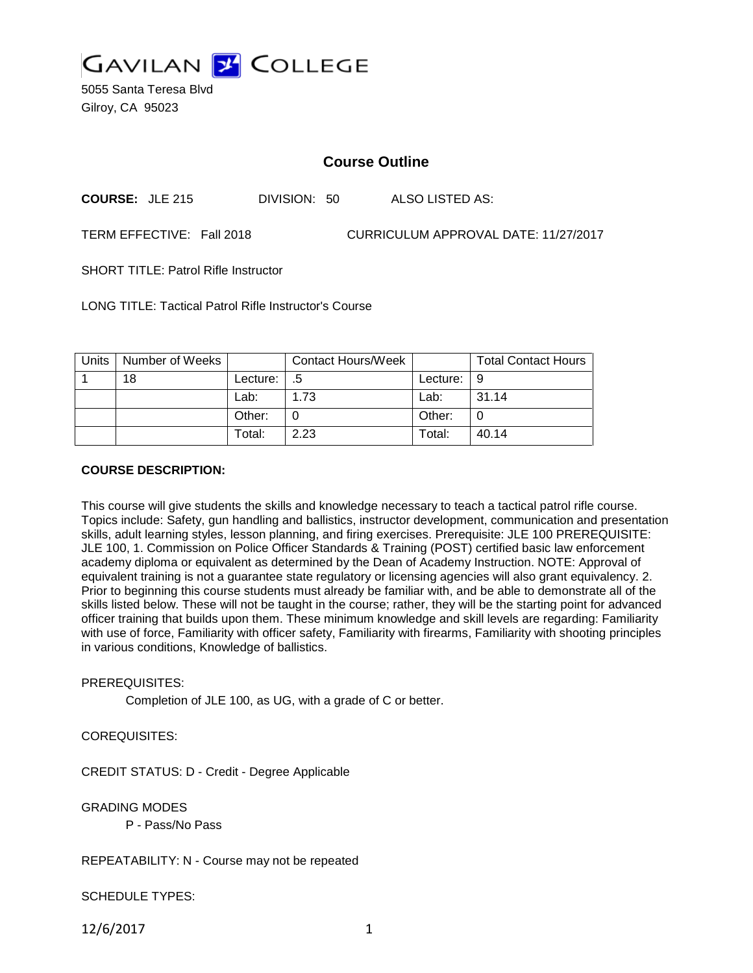

5055 Santa Teresa Blvd Gilroy, CA 95023

# **Course Outline**

**COURSE:** JLE 215 DIVISION: 50 ALSO LISTED AS:

TERM EFFECTIVE: Fall 2018 CURRICULUM APPROVAL DATE: 11/27/2017

SHORT TITLE: Patrol Rifle Instructor

LONG TITLE: Tactical Patrol Rifle Instructor's Course

| Units | Number of Weeks |          | <b>Contact Hours/Week</b> |                    | <b>Total Contact Hours</b> |
|-------|-----------------|----------|---------------------------|--------------------|----------------------------|
|       | 18              | Lecture: | $-.5$                     | Lecture: $\vert 9$ |                            |
|       |                 | Lab:     | 1.73                      | Lab:               | 31.14                      |
|       |                 | Other:   |                           | Other:             |                            |
|       |                 | Total:   | 2.23                      | Total:             | 40.14                      |

### **COURSE DESCRIPTION:**

This course will give students the skills and knowledge necessary to teach a tactical patrol rifle course. Topics include: Safety, gun handling and ballistics, instructor development, communication and presentation skills, adult learning styles, lesson planning, and firing exercises. Prerequisite: JLE 100 PREREQUISITE: JLE 100, 1. Commission on Police Officer Standards & Training (POST) certified basic law enforcement academy diploma or equivalent as determined by the Dean of Academy Instruction. NOTE: Approval of equivalent training is not a guarantee state regulatory or licensing agencies will also grant equivalency. 2. Prior to beginning this course students must already be familiar with, and be able to demonstrate all of the skills listed below. These will not be taught in the course; rather, they will be the starting point for advanced officer training that builds upon them. These minimum knowledge and skill levels are regarding: Familiarity with use of force, Familiarity with officer safety, Familiarity with firearms, Familiarity with shooting principles in various conditions, Knowledge of ballistics.

#### PREREQUISITES:

Completion of JLE 100, as UG, with a grade of C or better.

### COREQUISITES:

CREDIT STATUS: D - Credit - Degree Applicable

GRADING MODES

P - Pass/No Pass

### REPEATABILITY: N - Course may not be repeated

SCHEDULE TYPES:

12/6/2017 1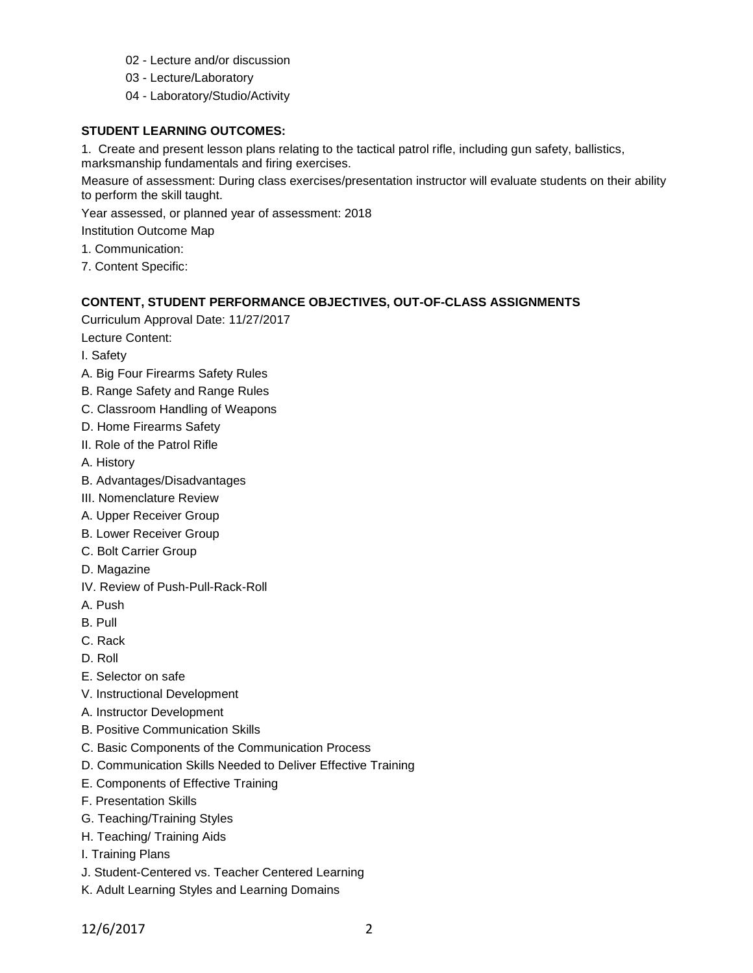- 02 Lecture and/or discussion
- 03 Lecture/Laboratory
- 04 Laboratory/Studio/Activity

## **STUDENT LEARNING OUTCOMES:**

1. Create and present lesson plans relating to the tactical patrol rifle, including gun safety, ballistics, marksmanship fundamentals and firing exercises.

Measure of assessment: During class exercises/presentation instructor will evaluate students on their ability to perform the skill taught.

Year assessed, or planned year of assessment: 2018

Institution Outcome Map

- 1. Communication:
- 7. Content Specific:

## **CONTENT, STUDENT PERFORMANCE OBJECTIVES, OUT-OF-CLASS ASSIGNMENTS**

Curriculum Approval Date: 11/27/2017

Lecture Content:

I. Safety

- A. Big Four Firearms Safety Rules
- B. Range Safety and Range Rules
- C. Classroom Handling of Weapons
- D. Home Firearms Safety
- II. Role of the Patrol Rifle
- A. History
- B. Advantages/Disadvantages
- III. Nomenclature Review
- A. Upper Receiver Group
- B. Lower Receiver Group
- C. Bolt Carrier Group
- D. Magazine
- IV. Review of Push-Pull-Rack-Roll
- A. Push
- B. Pull
- C. Rack
- D. Roll
- E. Selector on safe
- V. Instructional Development
- A. Instructor Development
- B. Positive Communication Skills
- C. Basic Components of the Communication Process
- D. Communication Skills Needed to Deliver Effective Training
- E. Components of Effective Training
- F. Presentation Skills
- G. Teaching/Training Styles
- H. Teaching/ Training Aids
- I. Training Plans
- J. Student-Centered vs. Teacher Centered Learning
- K. Adult Learning Styles and Learning Domains

12/6/2017 2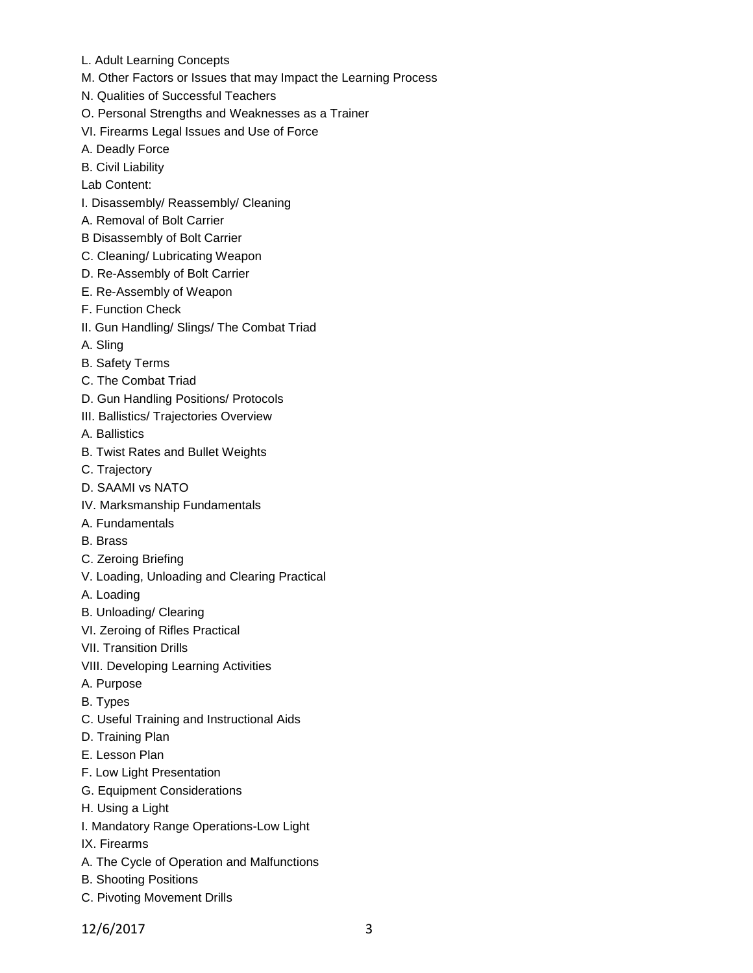- L. Adult Learning Concepts
- M. Other Factors or Issues that may Impact the Learning Process
- N. Qualities of Successful Teachers
- O. Personal Strengths and Weaknesses as a Trainer
- VI. Firearms Legal Issues and Use of Force
- A. Deadly Force
- B. Civil Liability
- Lab Content:
- I. Disassembly/ Reassembly/ Cleaning
- A. Removal of Bolt Carrier
- B Disassembly of Bolt Carrier
- C. Cleaning/ Lubricating Weapon
- D. Re-Assembly of Bolt Carrier
- E. Re-Assembly of Weapon
- F. Function Check
- II. Gun Handling/ Slings/ The Combat Triad
- A. Sling
- B. Safety Terms
- C. The Combat Triad
- D. Gun Handling Positions/ Protocols
- III. Ballistics/ Trajectories Overview
- A. Ballistics
- B. Twist Rates and Bullet Weights
- C. Trajectory
- D. SAAMI vs NATO
- IV. Marksmanship Fundamentals
- A. Fundamentals
- B. Brass
- C. Zeroing Briefing
- V. Loading, Unloading and Clearing Practical
- A. Loading
- B. Unloading/ Clearing
- VI. Zeroing of Rifles Practical
- VII. Transition Drills
- VIII. Developing Learning Activities
- A. Purpose
- B. Types
- C. Useful Training and Instructional Aids
- D. Training Plan
- E. Lesson Plan
- F. Low Light Presentation
- G. Equipment Considerations
- H. Using a Light
- I. Mandatory Range Operations-Low Light
- IX. Firearms
- A. The Cycle of Operation and Malfunctions
- B. Shooting Positions
- C. Pivoting Movement Drills

12/6/2017 3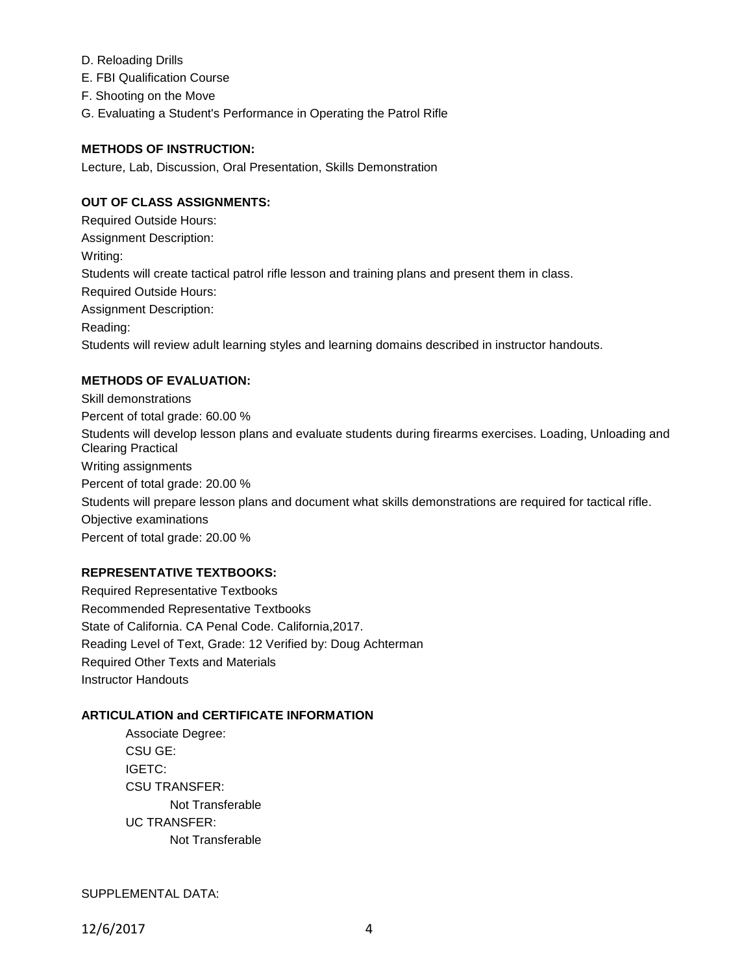- D. Reloading Drills
- E. FBI Qualification Course
- F. Shooting on the Move
- G. Evaluating a Student's Performance in Operating the Patrol Rifle

## **METHODS OF INSTRUCTION:**

Lecture, Lab, Discussion, Oral Presentation, Skills Demonstration

# **OUT OF CLASS ASSIGNMENTS:**

Required Outside Hours: Assignment Description: Writing: Students will create tactical patrol rifle lesson and training plans and present them in class. Required Outside Hours: Assignment Description: Reading: Students will review adult learning styles and learning domains described in instructor handouts.

# **METHODS OF EVALUATION:**

Skill demonstrations Percent of total grade: 60.00 % Students will develop lesson plans and evaluate students during firearms exercises. Loading, Unloading and Clearing Practical Writing assignments Percent of total grade: 20.00 % Students will prepare lesson plans and document what skills demonstrations are required for tactical rifle. Objective examinations Percent of total grade: 20.00 %

### **REPRESENTATIVE TEXTBOOKS:**

Required Representative Textbooks Recommended Representative Textbooks State of California. CA Penal Code. California,2017. Reading Level of Text, Grade: 12 Verified by: Doug Achterman Required Other Texts and Materials Instructor Handouts

### **ARTICULATION and CERTIFICATE INFORMATION**

Associate Degree: CSU GE: IGETC: CSU TRANSFER: Not Transferable UC TRANSFER: Not Transferable

SUPPLEMENTAL DATA: